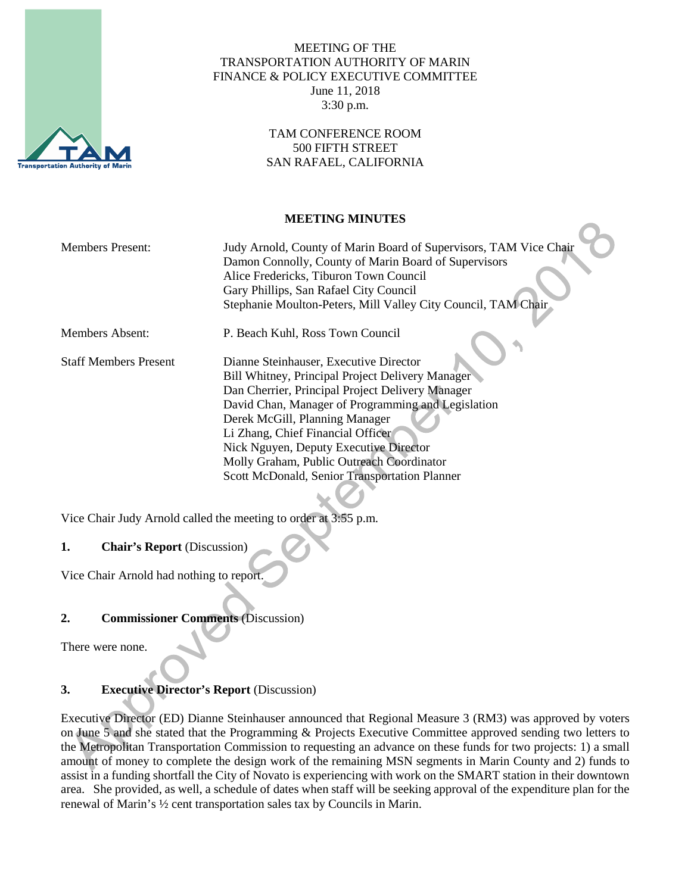

## MEETING OF THE TRANSPORTATION AUTHORITY OF MARIN FINANCE & POLICY EXECUTIVE COMMITTEE June 11, 2018 3:30 p.m.

## TAM CONFERENCE ROOM 500 FIFTH STREET SAN RAFAEL, CALIFORNIA

## **MEETING MINUTES**

| <b>Members Present:</b>      | Judy Arnold, County of Marin Board of Supervisors, TAM Vice Chair<br>Damon Connolly, County of Marin Board of Supervisors<br>Alice Fredericks, Tiburon Town Council<br>Gary Phillips, San Rafael City Council<br>Stephanie Moulton-Peters, Mill Valley City Council, TAM Chair                                                                                                                                      |
|------------------------------|---------------------------------------------------------------------------------------------------------------------------------------------------------------------------------------------------------------------------------------------------------------------------------------------------------------------------------------------------------------------------------------------------------------------|
| Members Absent:              | P. Beach Kuhl, Ross Town Council                                                                                                                                                                                                                                                                                                                                                                                    |
| <b>Staff Members Present</b> | Dianne Steinhauser, Executive Director<br>Bill Whitney, Principal Project Delivery Manager<br>Dan Cherrier, Principal Project Delivery Manager<br>David Chan, Manager of Programming and Legislation<br>Derek McGill, Planning Manager<br>Li Zhang, Chief Financial Officer<br>Nick Nguyen, Deputy Executive Director<br>Molly Graham, Public Outreach Coordinator<br>Scott McDonald, Senior Transportation Planner |

Vice Chair Judy Arnold called the meeting to order at 3:55 p.m.

# **1. Chair's Report** (Discussion)

Vice Chair Arnold had nothing to report.

# **2. Commissioner Comments** (Discussion)

There were none.

# **3. Executive Director's Report** (Discussion)

Executive Director (ED) Dianne Steinhauser announced that Regional Measure 3 (RM3) was approved by voters on June 5 and she stated that the Programming & Projects Executive Committee approved sending two letters to the Metropolitan Transportation Commission to requesting an advance on these funds for two projects: 1) a small amount of money to complete the design work of the remaining MSN segments in Marin County and 2) funds to assist in a funding shortfall the City of Novato is experiencing with work on the SMART station in their downtown area. She provided, as well, a schedule of dates when staff will be seeking approval of the expenditure plan for the renewal of Marin's ½ cent transportation sales tax by Councils in Marin.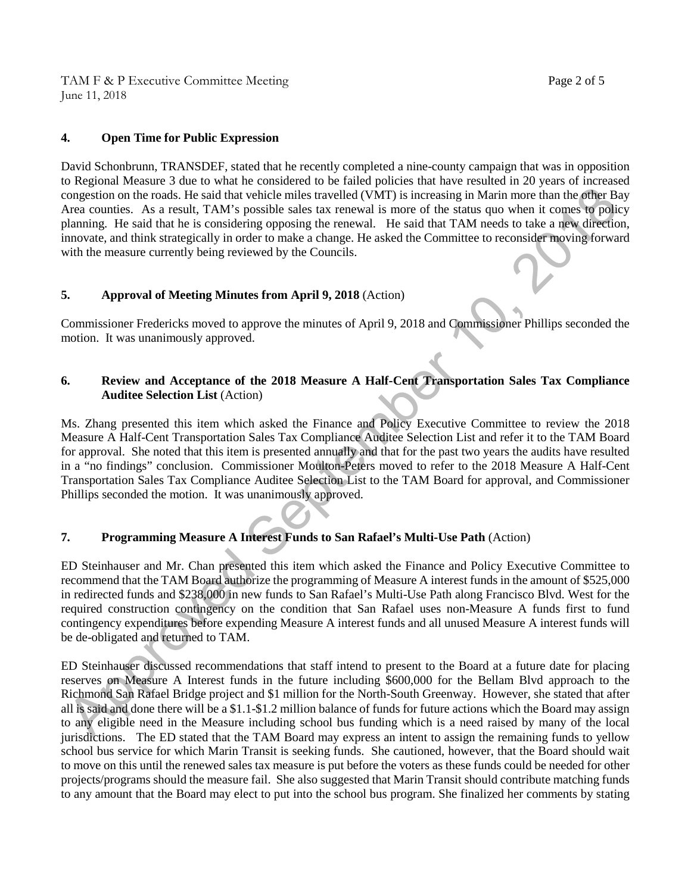TAM F & P Executive Committee Meeting Page 2 of 5 June 11, 2018

David Schonbrunn, TRANSDEF, stated that he recently completed a nine-county campaign that was in opposition to Regional Measure 3 due to what he considered to be failed policies that have resulted in 20 years of increased congestion on the roads. He said that vehicle miles travelled (VMT) is increasing in Marin more than the other Bay Area counties. As a result, TAM's possible sales tax renewal is more of the status quo when it comes to policy planning. He said that he is considering opposing the renewal. He said that TAM needs to take a new direction, innovate, and think strategically in order to make a change. He asked the Committee to reconsider moving forward with the measure currently being reviewed by the Councils.

#### **5. Approval of Meeting Minutes from April 9, 2018** (Action)

Commissioner Fredericks moved to approve the minutes of April 9, 2018 and Commissioner Phillips seconded the motion. It was unanimously approved.

## **6. Review and Acceptance of the 2018 Measure A Half-Cent Transportation Sales Tax Compliance Auditee Selection List** (Action)

Ms. Zhang presented this item which asked the Finance and Policy Executive Committee to review the 2018 Measure A Half-Cent Transportation Sales Tax Compliance Auditee Selection List and refer it to the TAM Board for approval. She noted that this item is presented annually and that for the past two years the audits have resulted in a "no findings" conclusion. Commissioner Moulton-Peters moved to refer to the 2018 Measure A Half-Cent Transportation Sales Tax Compliance Auditee Selection List to the TAM Board for approval, and Commissioner Phillips seconded the motion. It was unanimously approved.

#### **7. Programming Measure A Interest Funds to San Rafael's Multi-Use Path** (Action)

ED Steinhauser and Mr. Chan presented this item which asked the Finance and Policy Executive Committee to recommend that the TAM Board authorize the programming of Measure A interest funds in the amount of \$525,000 in redirected funds and \$238,000 in new funds to San Rafael's Multi-Use Path along Francisco Blvd. West for the required construction contingency on the condition that San Rafael uses non-Measure A funds first to fund contingency expenditures before expending Measure A interest funds and all unused Measure A interest funds will be de-obligated and returned to TAM.

ED Steinhauser discussed recommendations that staff intend to present to the Board at a future date for placing reserves on Measure A Interest funds in the future including \$600,000 for the Bellam Blvd approach to the Richmond San Rafael Bridge project and \$1 million for the North-South Greenway. However, she stated that after all is said and done there will be a \$1.1-\$1.2 million balance of funds for future actions which the Board may assign to any eligible need in the Measure including school bus funding which is a need raised by many of the local jurisdictions. The ED stated that the TAM Board may express an intent to assign the remaining funds to yellow school bus service for which Marin Transit is seeking funds. She cautioned, however, that the Board should wait to move on this until the renewed sales tax measure is put before the voters as these funds could be needed for other projects/programs should the measure fail. She also suggested that Marin Transit should contribute matching funds to any amount that the Board may elect to put into the school bus program. She finalized her comments by stating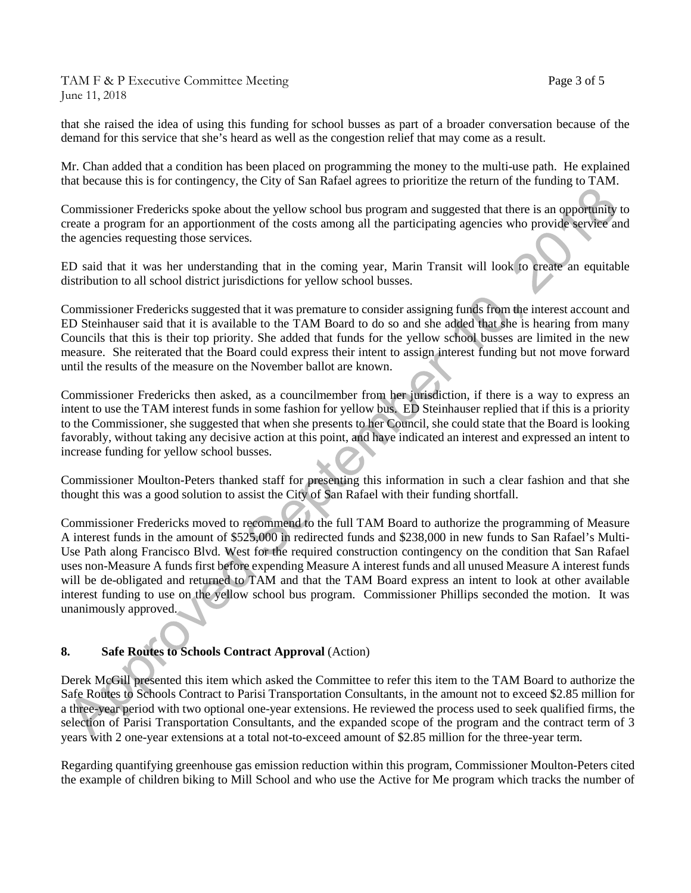TAM F & P Executive Committee Meeting Page 3 of 5 June 11, 2018

that she raised the idea of using this funding for school busses as part of a broader conversation because of the demand for this service that she's heard as well as the congestion relief that may come as a result.

Mr. Chan added that a condition has been placed on programming the money to the multi-use path. He explained that because this is for contingency, the City of San Rafael agrees to prioritize the return of the funding to TAM.

Commissioner Fredericks spoke about the yellow school bus program and suggested that there is an opportunity to create a program for an apportionment of the costs among all the participating agencies who provide service and the agencies requesting those services.

ED said that it was her understanding that in the coming year, Marin Transit will look to create an equitable distribution to all school district jurisdictions for yellow school busses.

Commissioner Fredericks suggested that it was premature to consider assigning funds from the interest account and ED Steinhauser said that it is available to the TAM Board to do so and she added that she is hearing from many Councils that this is their top priority. She added that funds for the yellow school busses are limited in the new measure. She reiterated that the Board could express their intent to assign interest funding but not move forward until the results of the measure on the November ballot are known.

Commissioner Fredericks then asked, as a councilmember from her jurisdiction, if there is a way to express an intent to use the TAM interest funds in some fashion for yellow bus. ED Steinhauser replied that if this is a priority to the Commissioner, she suggested that when she presents to her Council, she could state that the Board is looking favorably, without taking any decisive action at this point, and have indicated an interest and expressed an intent to increase funding for yellow school busses.

Commissioner Moulton-Peters thanked staff for presenting this information in such a clear fashion and that she thought this was a good solution to assist the City of San Rafael with their funding shortfall.

Commissioner Fredericks moved to recommend to the full TAM Board to authorize the programming of Measure A interest funds in the amount of \$525,000 in redirected funds and \$238,000 in new funds to San Rafael's Multi-Use Path along Francisco Blvd. West for the required construction contingency on the condition that San Rafael uses non-Measure A funds first before expending Measure A interest funds and all unused Measure A interest funds will be de-obligated and returned to TAM and that the TAM Board express an intent to look at other available interest funding to use on the yellow school bus program. Commissioner Phillips seconded the motion. It was unanimously approved.

#### **8. Safe Routes to Schools Contract Approval** (Action)

Derek McGill presented this item which asked the Committee to refer this item to the TAM Board to authorize the Safe Routes to Schools Contract to Parisi Transportation Consultants, in the amount not to exceed \$2.85 million for a three-year period with two optional one-year extensions. He reviewed the process used to seek qualified firms, the selection of Parisi Transportation Consultants, and the expanded scope of the program and the contract term of 3 years with 2 one-year extensions at a total not-to-exceed amount of \$2.85 million for the three-year term.

Regarding quantifying greenhouse gas emission reduction within this program, Commissioner Moulton-Peters cited the example of children biking to Mill School and who use the Active for Me program which tracks the number of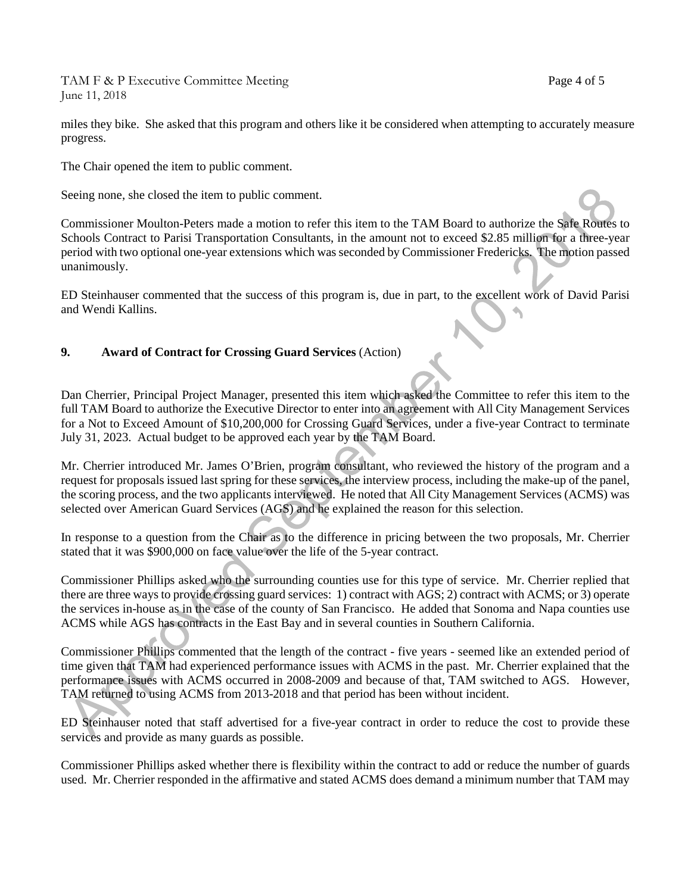TAM F & P Executive Committee Meeting Page 4 of 5 June 11, 2018

miles they bike. She asked that this program and others like it be considered when attempting to accurately measure progress.

The Chair opened the item to public comment.

Seeing none, she closed the item to public comment.

Commissioner Moulton-Peters made a motion to refer this item to the TAM Board to authorize the Safe Routes to Schools Contract to Parisi Transportation Consultants, in the amount not to exceed \$2.85 million for a three-year period with two optional one-year extensions which was seconded by Commissioner Fredericks. The motion passed unanimously.

ED Steinhauser commented that the success of this program is, due in part, to the excellent work of David Parisi and Wendi Kallins.

# **9. Award of Contract for Crossing Guard Services** (Action)

Dan Cherrier, Principal Project Manager, presented this item which asked the Committee to refer this item to the full TAM Board to authorize the Executive Director to enter into an agreement with All City Management Services for a Not to Exceed Amount of \$10,200,000 for Crossing Guard Services, under a five-year Contract to terminate July 31, 2023. Actual budget to be approved each year by the TAM Board.

Mr. Cherrier introduced Mr. James O'Brien, program consultant, who reviewed the history of the program and a request for proposals issued last spring for these services, the interview process, including the make-up of the panel, the scoring process, and the two applicants interviewed. He noted that All City Management Services (ACMS) was selected over American Guard Services (AGS) and he explained the reason for this selection.

In response to a question from the Chair as to the difference in pricing between the two proposals, Mr. Cherrier stated that it was \$900,000 on face value over the life of the 5-year contract.

Commissioner Phillips asked who the surrounding counties use for this type of service. Mr. Cherrier replied that there are three ways to provide crossing guard services: 1) contract with AGS; 2) contract with ACMS; or 3) operate the services in-house as in the case of the county of San Francisco. He added that Sonoma and Napa counties use ACMS while AGS has contracts in the East Bay and in several counties in Southern California.

Commissioner Phillips commented that the length of the contract - five years - seemed like an extended period of time given that TAM had experienced performance issues with ACMS in the past. Mr. Cherrier explained that the performance issues with ACMS occurred in 2008-2009 and because of that, TAM switched to AGS. However, TAM returned to using ACMS from 2013-2018 and that period has been without incident.

ED Steinhauser noted that staff advertised for a five-year contract in order to reduce the cost to provide these services and provide as many guards as possible.

Commissioner Phillips asked whether there is flexibility within the contract to add or reduce the number of guards used. Mr. Cherrier responded in the affirmative and stated ACMS does demand a minimum number that TAM may